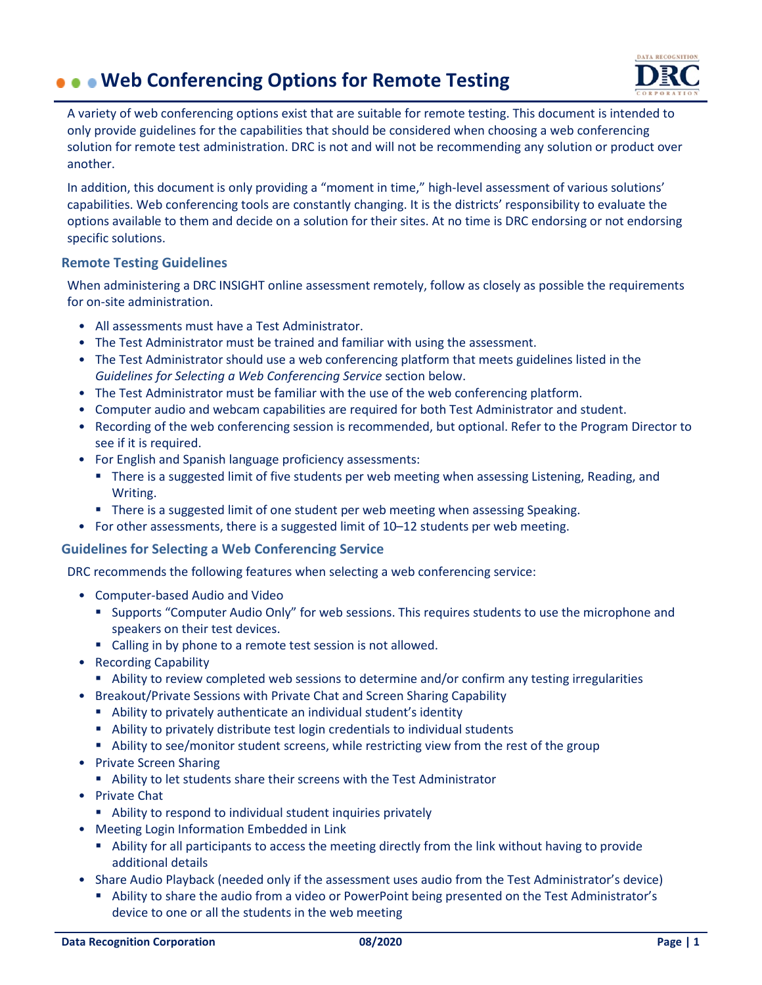# **Web Conferencing Options for Remote Testing**



A variety of web conferencing options exist that are suitable for remote testing. This document is intended to only provide guidelines for the capabilities that should be considered when choosing a web conferencing solution for remote test administration. DRC is not and will not be recommending any solution or product over another.

In addition, this document is only providing a "moment in time," high-level assessment of various solutions' capabilities. Web conferencing tools are constantly changing. It is the districts' responsibility to evaluate the options available to them and decide on a solution for their sites. At no time is DRC endorsing or not endorsing specific solutions.

### **Remote Testing Guidelines**

When administering a DRC INSIGHT online assessment remotely, follow as closely as possible the requirements for on-site administration.

- All assessments must have a Test Administrator.
- The Test Administrator must be trained and familiar with using the assessment.
- The Test Administrator should use a web conferencing platform that meets guidelines listed in the *Guidelines for Selecting a Web Conferencing Service* section below.
- The Test Administrator must be familiar with the use of the web conferencing platform.
- Computer audio and webcam capabilities are required for both Test Administrator and student.
- Recording of the web conferencing session is recommended, but optional. Refer to the Program Director to see if it is required.
- For English and Spanish language proficiency assessments:
	- **There is a suggested limit of five students per web meeting when assessing Listening, Reading, and** Writing.
	- **There is a suggested limit of one student per web meeting when assessing Speaking.**
- For other assessments, there is a suggested limit of 10–12 students per web meeting.

#### **Guidelines for Selecting a Web Conferencing Service**

DRC recommends the following features when selecting a web conferencing service:

- Computer-based Audio and Video
	- Supports "Computer Audio Only" for web sessions. This requires students to use the microphone and speakers on their test devices.
	- **EXTERGHTM** Calling in by phone to a remote test session is not allowed.
- Recording Capability
	- Ability to review completed web sessions to determine and/or confirm any testing irregularities
- Breakout/Private Sessions with Private Chat and Screen Sharing Capability
	- Ability to privately authenticate an individual student's identity
	- Ability to privately distribute test login credentials to individual students
	- Ability to see/monitor student screens, while restricting view from the rest of the group
- Private Screen Sharing
	- Ability to let students share their screens with the Test Administrator
- Private Chat
	- Ability to respond to individual student inquiries privately
- Meeting Login Information Embedded in Link
	- Ability for all participants to access the meeting directly from the link without having to provide additional details
- Share Audio Playback (needed only if the assessment uses audio from the Test Administrator's device)
	- Ability to share the audio from a video or PowerPoint being presented on the Test Administrator's device to one or all the students in the web meeting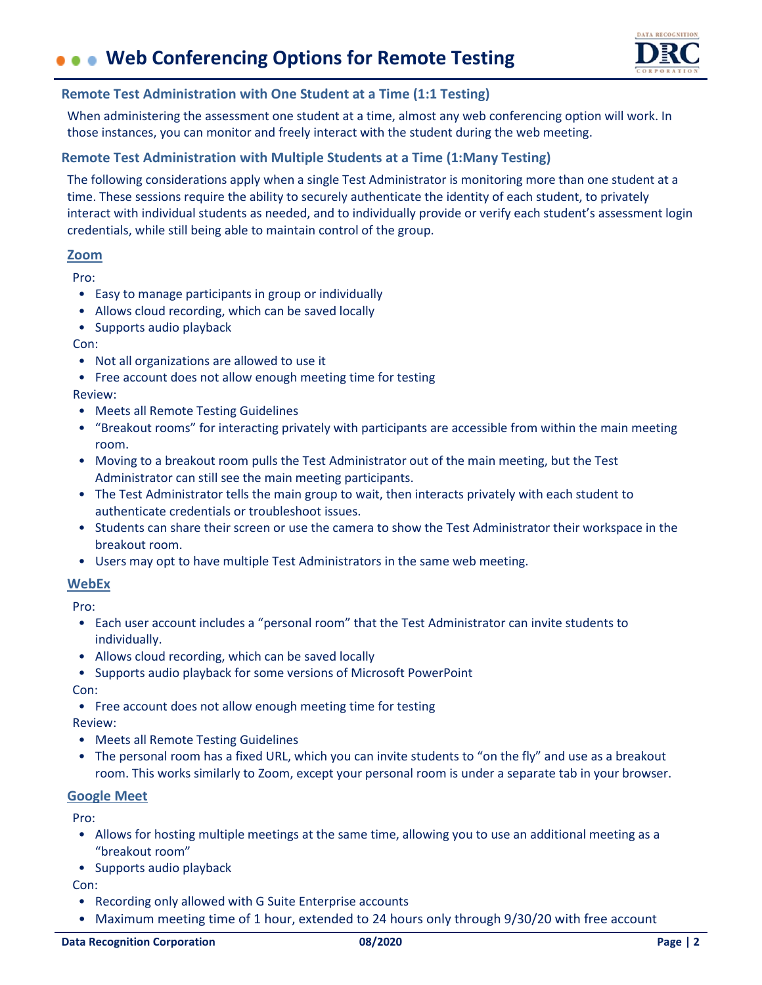# **Web Conferencing Options for Remote Testing**



#### **Remote Test Administration with One Student at a Time (1:1 Testing)**

When administering the assessment one student at a time, almost any web conferencing option will work. In those instances, you can monitor and freely interact with the student during the web meeting.

### **Remote Test Administration with Multiple Students at a Time (1:Many Testing)**

The following considerations apply when a single Test Administrator is monitoring more than one student at a time. These sessions require the ability to securely authenticate the identity of each student, to privately interact with individual students as needed, and to individually provide or verify each student's assessment login credentials, while still being able to maintain control of the group.

### **Zoom**

Pro:

- Easy to manage participants in group or individually
- Allows cloud recording, which can be saved locally
- Supports audio playback

Con:

- Not all organizations are allowed to use it
- Free account does not allow enough meeting time for testing Review:
- Meets all Remote Testing Guidelines
- "Breakout rooms" for interacting privately with participants are accessible from within the main meeting room.
- Moving to a breakout room pulls the Test Administrator out of the main meeting, but the Test Administrator can still see the main meeting participants.
- The Test Administrator tells the main group to wait, then interacts privately with each student to authenticate credentials or troubleshoot issues.
- Students can share their screen or use the camera to show the Test Administrator their workspace in the breakout room.
- Users may opt to have multiple Test Administrators in the same web meeting.

#### **WebEx**

Pro:

- Each user account includes a "personal room" that the Test Administrator can invite students to individually.
- Allows cloud recording, which can be saved locally
- Supports audio playback for some versions of Microsoft PowerPoint

Con:

• Free account does not allow enough meeting time for testing

Review:

- Meets all Remote Testing Guidelines
- The personal room has a fixed URL, which you can invite students to "on the fly" and use as a breakout room. This works similarly to Zoom, except your personal room is under a separate tab in your browser.

#### **Google Meet**

Pro:

- Allows for hosting multiple meetings at the same time, allowing you to use an additional meeting as a "breakout room"
- Supports audio playback

Con:

- Recording only allowed with G Suite Enterprise accounts
- Maximum meeting time of 1 hour, extended to 24 hours only through 9/30/20 with free account